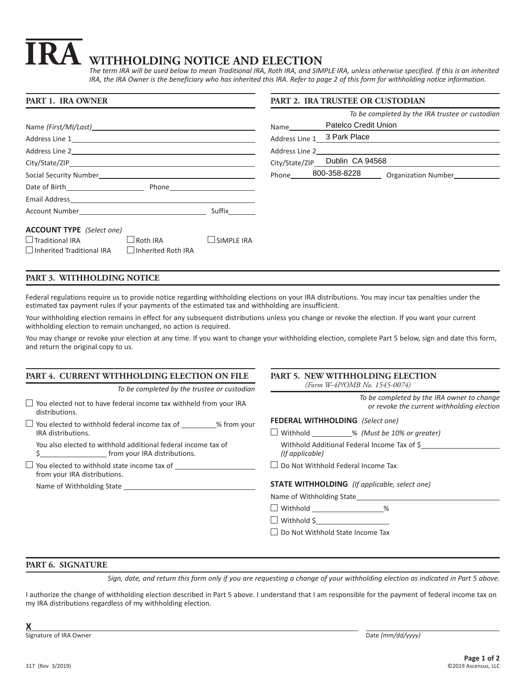# **IRA WITHHOLDING NOTICE AND ELECTION**

*The term IRA will be used below to mean Traditional IRA, Roth IRA, and SIMPLE IRA, unless otherwise specified. If this is an inherited IRA, the IRA Owner is the beneficiary who has inherited this IRA. Refer to page 2 of this form for withholding notice information.*

| PART 1. IRA OWNER                                                                    |          |            | PART 2. IRA TRUSTEE OR CUSTODIAN |                                                 |
|--------------------------------------------------------------------------------------|----------|------------|----------------------------------|-------------------------------------------------|
|                                                                                      |          |            |                                  | To be completed by the IRA trustee or custodian |
|                                                                                      |          |            |                                  |                                                 |
|                                                                                      |          |            |                                  |                                                 |
|                                                                                      |          |            |                                  |                                                 |
|                                                                                      |          |            |                                  | City/State/ZIP                                  |
|                                                                                      |          |            |                                  |                                                 |
|                                                                                      |          |            |                                  |                                                 |
|                                                                                      |          |            |                                  |                                                 |
| Account Number and Suffix Suffix                                                     |          |            |                                  |                                                 |
| <b>ACCOUNT TYPE</b> (Select one)                                                     |          |            |                                  |                                                 |
| $\Box$ Traditional IRA<br>$\Box$ Inherited Traditional IRA $\Box$ Inherited Roth IRA | Roth IRA | SIMPLE IRA |                                  |                                                 |

## **PART 3. WITHHOLDING NOTICE**

Federal regulations require us to provide notice regarding withholding elections on your IRA distributions. You may incur tax penalties under the estimated tax payment rules if your payments of the estimated tax and withholding are insufficient.

Your withholding election remains in effect for any subsequent distributions unless you change or revoke the election. If you want your current withholding election to remain unchanged, no action is required.

You may change or revoke your election at any time. If you want to change your withholding election, complete Part 5 below, sign and date this form, and return the original copy to us.

## **PART 4. CURRENT WITHHOLDING ELECTION ON FILE**

*To be completed by the trustee or custodian*  $\Box$  You elected not to have federal income tax withheld from your IRA

 $\Box$  You elected to withhold federal income tax of  $\Box$  % from your IRA distributions.

You also elected to withhold additional federal income tax of \$ from your IRA distributions.

| $\Box$ You elected to withhold state income tax of |  |
|----------------------------------------------------|--|
| from your IRA distributions.                       |  |

Name of Withholding State

distributions.

### **PART 5. NEW WITHHOLDING ELECTION** *(Form W-4P/OMB No. 1545-0074)*

|   |                                                       | To be completed by the IRA owner to change<br>or revoke the current withholding election |
|---|-------------------------------------------------------|------------------------------------------------------------------------------------------|
| r | <b>FEDERAL WITHHOLDING</b> (Select one)               |                                                                                          |
|   | $\Box$ Withhold ___________% (Must be 10% or greater) |                                                                                          |
|   | (If applicable)                                       | Withhold Additional Federal Income Tax of \$                                             |
|   | $\Box$ Do Not Withhold Federal Income Tax             |                                                                                          |
|   | <b>STATE WITHHOLDING</b> (If applicable, select one)  |                                                                                          |
|   | Name of Withholding State                             |                                                                                          |
|   | □ Withhold ____________________%                      |                                                                                          |
|   | Withhold $\zeta$                                      |                                                                                          |

□ Do Not Withhold State Income Tax

## **PART 6. SIGNATURE**

*Sign, date, and return this form only if you are requesting a change of your withholding election as indicated in Part 5 above.*

I authorize the change of withholding election described in Part 5 above. I understand that I am responsible for the payment of federal income tax on my IRA distributions regardless of my withholding election.

Signature of IRA Owner **Date** *(mm/dd/yyyy***)** Date *(mm/dd/yyyy)*